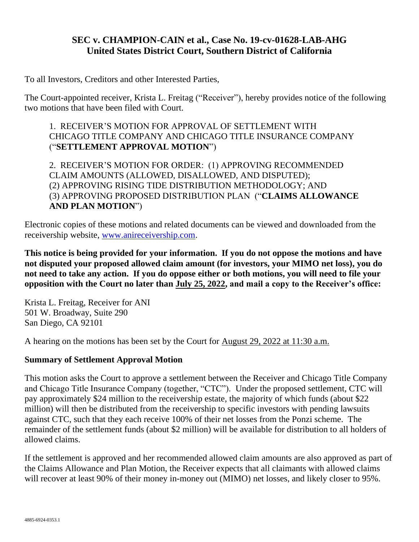## **SEC v. CHAMPION-CAIN et al., Case No. 19-cv-01628-LAB-AHG United States District Court, Southern District of California**

To all Investors, Creditors and other Interested Parties,

The Court-appointed receiver, Krista L. Freitag ("Receiver"), hereby provides notice of the following two motions that have been filed with Court.

## 1. RECEIVER'S MOTION FOR APPROVAL OF SETTLEMENT WITH CHICAGO TITLE COMPANY AND CHICAGO TITLE INSURANCE COMPANY ("**SETTLEMENT APPROVAL MOTION**")

2. RECEIVER'S MOTION FOR ORDER: (1) APPROVING RECOMMENDED CLAIM AMOUNTS (ALLOWED, DISALLOWED, AND DISPUTED); (2) APPROVING RISING TIDE DISTRIBUTION METHODOLOGY; AND (3) APPROVING PROPOSED DISTRIBUTION PLAN ("**CLAIMS ALLOWANCE AND PLAN MOTION**")

Electronic copies of these motions and related documents can be viewed and downloaded from the receivership website, [www.anireceivership.com.](http://www.anireceivership.com/)

**This notice is being provided for your information. If you do not oppose the motions and have not disputed your proposed allowed claim amount (for investors, your MIMO net loss), you do not need to take any action. If you do oppose either or both motions, you will need to file your opposition with the Court no later than July 25, 2022, and mail a copy to the Receiver's office:**

Krista L. Freitag, Receiver for ANI 501 W. Broadway, Suite 290 San Diego, CA 92101

A hearing on the motions has been set by the Court for August 29, 2022 at 11:30 a.m.

## **Summary of Settlement Approval Motion**

This motion asks the Court to approve a settlement between the Receiver and Chicago Title Company and Chicago Title Insurance Company (together, "CTC"). Under the proposed settlement, CTC will pay approximately \$24 million to the receivership estate, the majority of which funds (about \$22 million) will then be distributed from the receivership to specific investors with pending lawsuits against CTC, such that they each receive 100% of their net losses from the Ponzi scheme. The remainder of the settlement funds (about \$2 million) will be available for distribution to all holders of allowed claims.

If the settlement is approved and her recommended allowed claim amounts are also approved as part of the Claims Allowance and Plan Motion, the Receiver expects that all claimants with allowed claims will recover at least 90% of their money in-money out (MIMO) net losses, and likely closer to 95%.